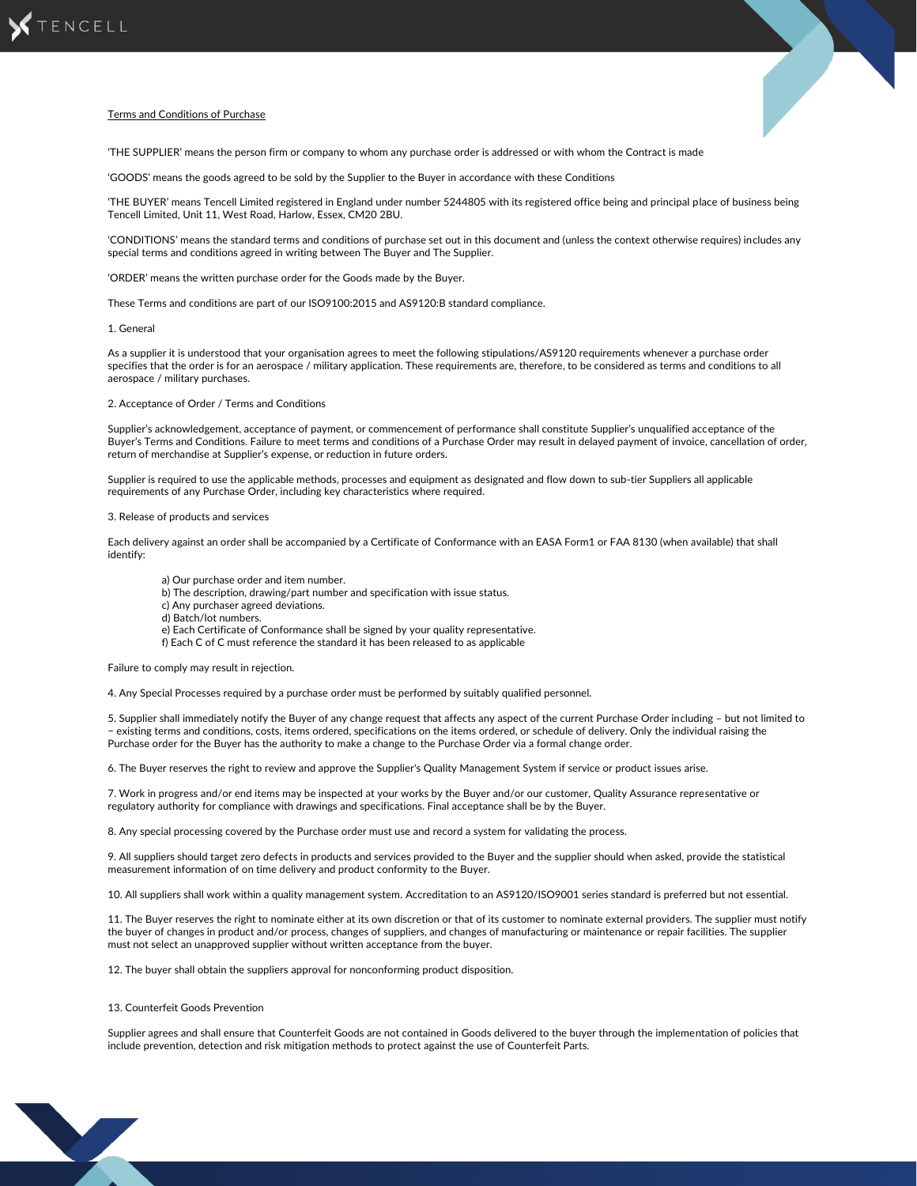

# Terms and Conditions of Purchase

'THE SUPPLIER' means the person firm or company to whom any purchase order is addressed or with whom the Contract is made

'GOODS' means the goods agreed to be sold by the Supplier to the Buyer in accordance with these Conditions

'THE BUYER' means Tencell Limited registered in England under number 5244805 with its registered office being and principal place of business being Tencell Limited, Unit 11, West Road, Harlow, Essex, CM20 2BU.

'CONDITIONS' means the standard terms and conditions of purchase set out in this document and (unless the context otherwise requires) includes any special terms and conditions agreed in writing between The Buyer and The Supplier.

'ORDER' means the written purchase order for the Goods made by the Buyer.

These Terms and conditions are part of our ISO9100:2015 and AS9120:B standard compliance.

### 1. General

As a supplier it is understood that your organisation agrees to meet the following stipulations/AS9120 requirements whenever a purchase order specifies that the order is for an aerospace / military application. These requirements are, therefore, to be considered as terms and conditions to all aerospace / military purchases.

## 2. Acceptance of Order / Terms and Conditions

Supplier's acknowledgement, acceptance of payment, or commencement of performance shall constitute Supplier's unqualified acceptance of the Buyer's Terms and Conditions. Failure to meet terms and conditions of a Purchase Order may result in delayed payment of invoice, cancellation of order, return of merchandise at Supplier's expense, or reduction in future orders.

Supplier is required to use the applicable methods, processes and equipment as designated and flow down to sub-tier Suppliers all applicable requirements of any Purchase Order, including key characteristics where required.

### 3. Release of products and services

Each delivery against an order shall be accompanied by a Certificate of Conformance with an EASA Form1 or FAA 8130 (when available) that shall identify:

- a) Our purchase order and item number.
- b) The description, drawing/part number and specification with issue status.
- c) Any purchaser agreed deviations.
- d) Batch/lot numbers.
- e) Each Certificate of Conformance shall be signed by your quality representative.
- f) Each C of C must reference the standard it has been released to as applicable

Failure to comply may result in rejection.

4. Any Special Processes required by a purchase order must be performed by suitably qualified personnel.

5. Supplier shall immediately notify the Buyer of any change request that affects any aspect of the current Purchase Order including – but not limited to − existing terms and conditions, costs, items ordered, specifications on the items ordered, or schedule of delivery. Only the individual raising the Purchase order for the Buyer has the authority to make a change to the Purchase Order via a formal change order.

6. The Buyer reserves the right to review and approve the Supplier's Quality Management System if service or product issues arise.

7. Work in progress and/or end items may be inspected at your works by the Buyer and/or our customer, Quality Assurance representative or regulatory authority for compliance with drawings and specifications. Final acceptance shall be by the Buyer.

8. Any special processing covered by the Purchase order must use and record a system for validating the process.

9. All suppliers should target zero defects in products and services provided to the Buyer and the supplier should when asked, provide the statistical measurement information of on time delivery and product conformity to the Buyer.

10. All suppliers shall work within a quality management system. Accreditation to an AS9120/ISO9001 series standard is preferred but not essential.

11. The Buyer reserves the right to nominate either at its own discretion or that of its customer to nominate external providers. The supplier must notify the buyer of changes in product and/or process, changes of suppliers, and changes of manufacturing or maintenance or repair facilities. The supplier must not select an unapproved supplier without written acceptance from the buyer.

12. The buyer shall obtain the suppliers approval for nonconforming product disposition.

#### 13. Counterfeit Goods Prevention

Supplier agrees and shall ensure that Counterfeit Goods are not contained in Goods delivered to the buyer through the implementation of policies that include prevention, detection and risk mitigation methods to protect against the use of Counterfeit Parts.